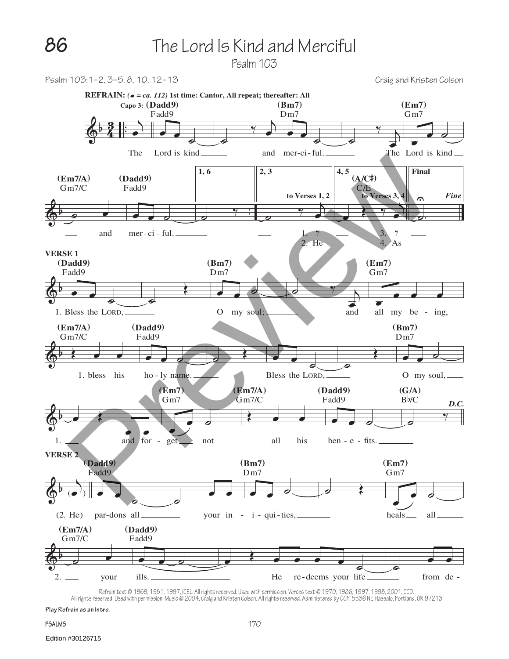Psalm 103



Retrain text © 1969, 1961, 1967, 1957, ICEL. All rights reserved. Used with permission. Verses text © 1970, 1986, 1997, 1998, 2001, CCD.<br>All rights reserved. Used with permission. Music © 2004, Craig and Kristen Colson. Al

**Play Refrain as an Intro.**